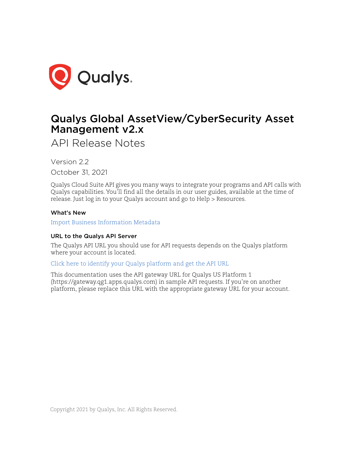

# Qualys Global AssetView/CyberSecurity Asset Management v2.x

API Release Notes

Version 2.2 October 31, 2021

Qualys Cloud Suite API gives you many ways to integrate your programs and API calls with Qualys capabilities. You'll find all the details in our user guides, available at the time of release. Just log in to your Qualys account and go to Help > Resources.

## What's New

[Import Business Information Metadata](#page-1-0)

# URL to the Qualys API Server

The Qualys API URL you should use for API requests depends on the Qualys platform where your account is located.

[Click here to identify your Qualys platform and get the API URL](https://www.qualys.com/platform-identification/)

This documentation uses the API gateway URL for Qualys US Platform 1 (https://gateway.qg1.apps.qualys.com) in sample API requests. If you're on another platform, please replace this URL with the appropriate gateway URL for your account.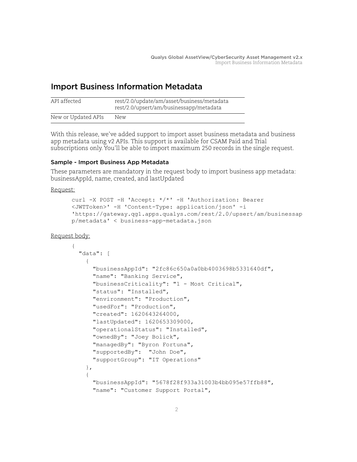# <span id="page-1-0"></span>Import Business Information Metadata

| API affected        | rest/2.0/update/am/asset/business/metadata<br>rest/2.0/upsert/am/businessapp/metadata |
|---------------------|---------------------------------------------------------------------------------------|
| New or Updated APIs | New                                                                                   |

With this release, we've added support to import asset business metadata and business app metadata using v2 APIs. This support is available for CSAM Paid and Trial subscriptions only. You'll be able to import maximum 250 records in the single request.

## Sample - Import Business App Metadata

These parameters are mandatory in the request body to import business app metadata: businessAppId, name, created, and lastUpdated

Request:

```
curl -X POST -H 'Accept: */*' -H 'Authorization: Bearer 
<JWTToken>' -H 'Content-Type: application/json' -i 
'https://gateway.qg1.apps.qualys.com/rest/2.0/upsert/am/businessap
p/metadata' < business-app-metadata.json
```
Request body:

```
{ 
  "data": [
     {
       "businessAppId": "2fc86c650a0a0bb4003698b5331640df",
       "name": "Banking Service",
       "businessCriticality": "1 - Most Critical",
       "status": "Installed",
       "environment": "Production",
       "usedFor": "Production",
       "created": 1620643264000,
       "lastUpdated": 1620653309000,
       "operationalStatus": "Installed",
       "ownedBy": "Joey Bolick",
       "managedBy": "Byron Fortuna",
       "supportedBy": "John Doe",
       "supportGroup": "IT Operations"
     },
\{ "businessAppId": "5678f28f933a31003b4bb095e57ffb88",
       "name": "Customer Support Portal",
```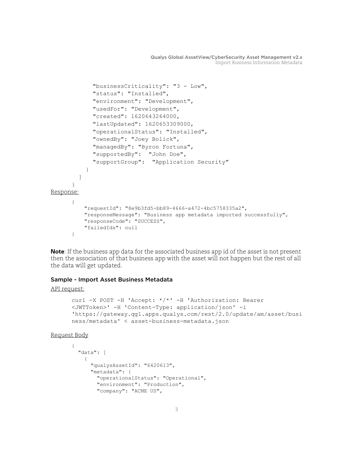```
 "businessCriticality": "3 - Low",
              "status": "Installed",
              "environment": "Development",
              "usedFor": "Development",
              "created": 1620643264000,
              "lastUpdated": 1620653309000,
              "operationalStatus": "Installed",
              "ownedBy": "Joey Bolick",
              "managedBy": "Byron Fortuna",
              "supportedBy": "John Doe",
              "supportGroup": "Application Security"
            }
         ]
      }
Response:
      {
           "requestId": "8e9b3fd5-bb89-4666-a472-4bc5758335a2",
           "responseMessage": "Business app metadata imported successfully",
           "responseCode": "SUCCESS",
           "failedIds": null
      }
```
**Note**: If the business app data for the associated business app id of the asset is not present then the association of that business app with the asset will not happen but the rest of all the data will get updated.

### Sample - Import Asset Business Metadata

#### API request:

```
curl -X POST -H 'Accept: */*' -H 'Authorization: Bearer 
<JWTToken>' -H 'Content-Type: application/json' -i 
'https://gateway.qg1.apps.qualys.com/rest/2.0/update/am/asset/busi
ness/metadata' < asset-business-metadata.json
```
Request Body

```
{
   "data": [
\left\{\begin{array}{ccc} & & \\ & & \end{array}\right\} "qualysAssetId": "6420613",
         "metadata": {
            "operationalStatus": "Operational",
            "environment": "Production",
            "company": "ACME US",
```